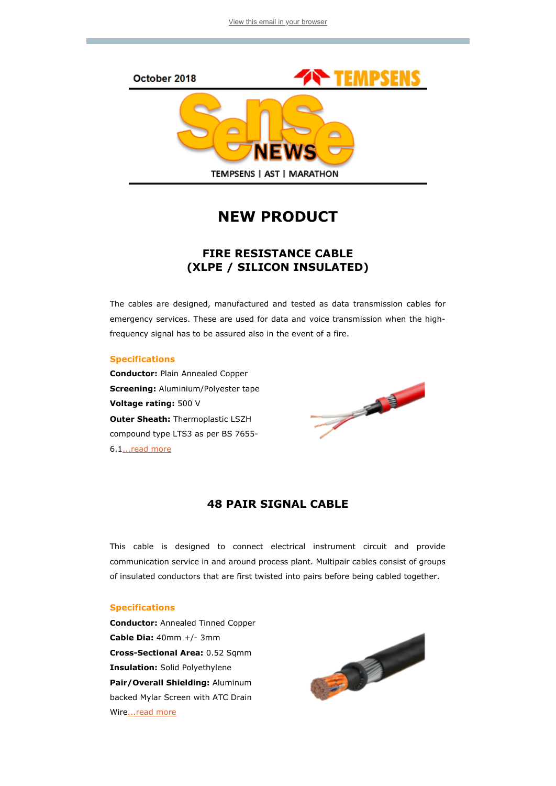

# NEW PRODUCT

## FIRE RESISTANCE CABLE (XLPE / SILICON INSULATED)

The cables are designed, manufactured and tested as data transmission cables for emergency services. These are used for data and voice transmission when the highfrequency signal has to be assured also in the event of a fire.

### Specifications

Conductor: Plain Annealed Copper **Screening: Aluminium/Polyester tape** Voltage rating: 500 V **Outer Sheath: Thermoplastic LSZH** compound type LTS3 as per BS 7655- 6.[1...read more](http://www.tempsens.com/pdf/newproduct/Fire_Resistance_Cable.pdf)



## 48 PAIR SIGNAL CABLE

This cable is designed to connect electrical instrument circuit and provide communication service in and around process plant. Multipair cables consist of groups of insulated conductors that are first twisted into pairs before being cabled together.

### Specifications

Conductor: Annealed Tinned Copper Cable Dia: 40mm +/- 3mm Cross-Sectional Area: 0.52 Sqmm Insulation: Solid Polyethylene Pair/Overall Shielding: Aluminum backed Mylar Screen with ATC Drain Wir[e...read more](http://www.tempsens.com/pdf/newproduct/48_Pair_Cable.pdf)

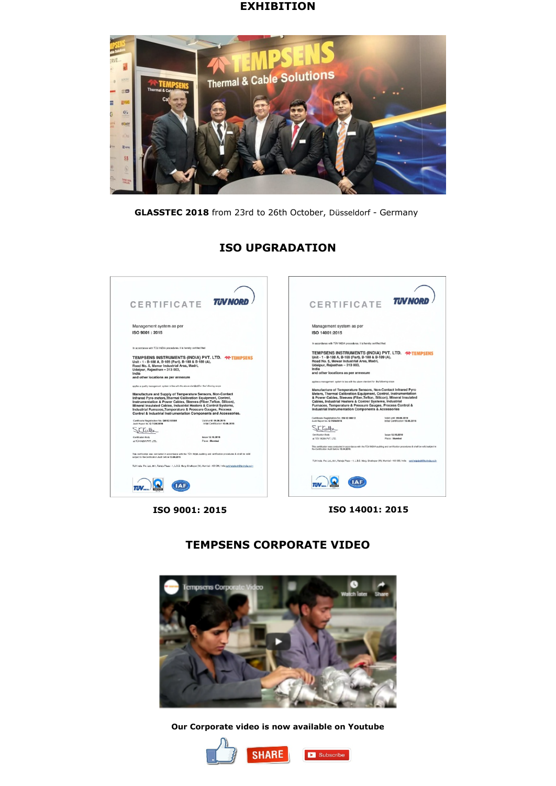### **EXHIBITION**



GLASSTEC 2018 from 23rd to 26th October, Düsseldorf - Germany

#### CERTIFICATE TUNNORD CERTIFICATE TUNNORD Management system as per Management system as per ISO 9001 : 2015 ISO 14001:2015 In annothenor with TTM INDIA proportions it is barely certified that In accordance with T(IV INDIA propertures, it is hereby certified that TEMPSENS INSTRUMENTS (INDIA) PVT. LTD. **-90 TEMPSENS**<br>Unit -1 - B-188 A, B-166 (Part), B-188 & B-189 (A),<br>Road No. 5, Mewar Industrial Area, Madri,<br>Udajpur, Rajasthan -- 313 003,<br>India<br>India TEMPSENS INSTRUMENTS (INDIA) PVT. LTD. **\*\* TEMPSENS**<br>Unit - 1 - B-188 A, B-169 (Part), B-188 & B-189 (A),<br>Road No. 5, Mewar Industrial Area, Madri,<br>Udaipur, Rajasthan – 313 003, India<br>and other locations as per annexure Udaipur, Hajastnan – 313 003,<br>India<br>and other locations as per annexure Manufacture of Temperature Sensors, Non-Contact Infrared Pyro<br>Meters, Thermal Calibration Equipment, Control, Instrumentation<br>A Power Cables, Siewes (Fiber, Teflon, Silicon), Mineral Insulated<br>Cables, Industrial Neaters & Manufacture and Supply of Temperature Sensors, Non-Contact<br>Infrared Pyro meters, Thermal Calibration Equipment, Control, Instrumentation & Power Cables, Sleeves (Fiber,Teflon, Silicon),<br>Instrumentation & Power Cables, Slee Certificate Registration No. EM 02 00012<br>Audit Report No. Q 7426/2016 Valid until 09.05.2019<br>Initial Certification 10.06.2016 Certificate Registration No. QM 02 00984 Valid until 09.06.2019<br>Audit Report No. Q 7426/2016 Valid Until Certification 10.06.2016  $\begin{array}{c} \text{mnot vector} \\ \text{isom 12.10.2018} \end{array}$ <br> $\begin{array}{c} \text{isom 12.10.2018} \\ \text{Plane: Mumbai} \end{array}$ Schutz SKKutta Issue 12.10.2018<br>Place : Mumbai Certification Body<br>at TÜV INDIA PVT, LTD. Certification Body<br>at TÜV INDIA PVT. LTD. This certification was conducted in accordance with the TÜV INDIA auditing and certification procedures & shall be valid<br>The Certification Audit before 15,04,2019. This confission was conducted in accordance with the TÜV INDIA auditing and certification procedures & shall be valid<br>subject to Re-Centication Audit before 15.04.2019. TUV India Pvt. Ltd., 801, Raheja Plaza - 1, L.B.S. Marg. Ghatkopar (W), Mursbal - 400 096, India gatLheis TLIV India Pvt. Ltd., 801. Raheia Plaza - 1. L. B.S. Marg. Ghatkopar (W). Mumbai - 400 086. India pert help  $TUV$   $\Omega$   $(1AB)$  $\pi v$   $\Omega$   $\Omega$

ISO UPGRADATION

ISO 9001: 2015 ISO 14001: 2015

# TEMPSENS CORPORATE VIDEO



Our Corporate video is now available on Youtube